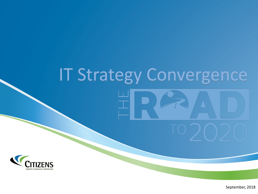# IT Strategy Convergence



September, 2018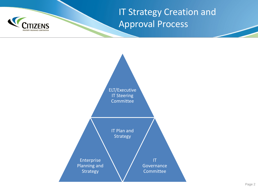

IT Strategy Creation and Approval Process

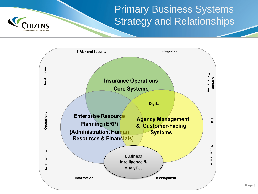# Primary Business Systems Strategy and Relationships



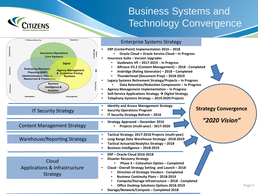

# Business Systems and Technology Convergence

|                                   | Integration<br>IT Risk and Security                                                                                                                                                                                                                                                                                                                   |                        | <b>Enterprise Systems Strategy</b>                                                                                                                                                                                                                                                                                                                                                                                                                                                                                                                                                                                                           |                             |
|-----------------------------------|-------------------------------------------------------------------------------------------------------------------------------------------------------------------------------------------------------------------------------------------------------------------------------------------------------------------------------------------------------|------------------------|----------------------------------------------------------------------------------------------------------------------------------------------------------------------------------------------------------------------------------------------------------------------------------------------------------------------------------------------------------------------------------------------------------------------------------------------------------------------------------------------------------------------------------------------------------------------------------------------------------------------------------------------|-----------------------------|
| nfrastru<br>Operation<br>Architec | <b>Insurance Operations</b><br><b>Core Systems</b><br><b>Digital</b><br><b>Enterprise Resource</b><br><b>Agency Management</b><br><b>Planning (ERP)</b><br>& Customer-Facing<br>(Administration, Human<br><b>Systems</b><br><b>Resources &amp; Financials)</b><br><b>Business</b><br>Intelligence &<br><b>Analytics</b><br>Information<br>Development | Content<br>anagom<br>₽ | ERP (CenterPoint) Implementation 2016 - 2018<br>Oracle Cloud + Oracle Service Cloud - In Progress<br><b>Insurance Suite - Version Upgrades</b><br>$\bullet$<br>Guidewire V9 - 2017-2019 - In Progress<br>Alfresco V5.2 (Content Management) - 2018 - Completed<br>Insbridge (Rating Generator) - 2018 - Completed<br>Thunderhead (Document Prep) - 2018-2019<br>Legacy Systems Retirement Strategy/Projects - In Progress<br>Data Retention/Reduction Components - In Progress<br>Agency Management Implementation - In Progress<br>Self-Service Applications Strategy → Digital Strategy<br>Telephony Systems Strategy - 2019-2020 Projects |                             |
|                                   | <b>IT Security Strategy</b>                                                                                                                                                                                                                                                                                                                           |                        | <b>Identity and Access Management Strategy</b><br><b>Security Operations Program</b><br>IT Security Strategy Refresh - 2018                                                                                                                                                                                                                                                                                                                                                                                                                                                                                                                  | <b>Strategy Convergence</b> |
|                                   | <b>Content Management Strategy</b>                                                                                                                                                                                                                                                                                                                    |                        | <b>Strategy Approved - December 2016</b><br>Projects (multi-year) - 2017-2020                                                                                                                                                                                                                                                                                                                                                                                                                                                                                                                                                                | "2020 Vision"               |
|                                   | <b>Warehouse/Reporting Strategy</b>                                                                                                                                                                                                                                                                                                                   |                        | Tactical Strategy: 2017-2018 Projects (multi-year)<br>Long Range Data Warehouse Strategy: 2018-2019<br>Tactical Actuarial/Analytics Strategy - 2018<br>Business Intelligence - 2018-2019                                                                                                                                                                                                                                                                                                                                                                                                                                                     |                             |
|                                   | Cloud<br>Applications & Infrastructure<br><b>Strategy</b>                                                                                                                                                                                                                                                                                             |                        | <b>ERP-Oracle Cloud 2016-2018</b><br><b>Disaster Recovery Strategy</b><br>Phase 3 - Colocation Option - Completed<br>Cloud - Overall Strategy Setting and Launch - 2018<br>$\bullet$<br><b>Direction of Strategic Vendors - Completed</b><br>$\bullet$<br><b>Business Continuity Plans - 2018-2019</b><br>Compute/Storage Infrastructure - 2018 - Completed<br><b>Office Desktop Solutions Options 2018-2019</b><br>Storage/Network/Compute - Completed 2018                                                                                                                                                                                 | Page 4                      |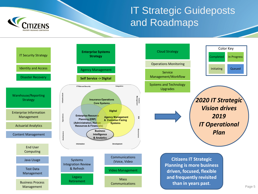# IT Strategic Guideposts and Roadmaps